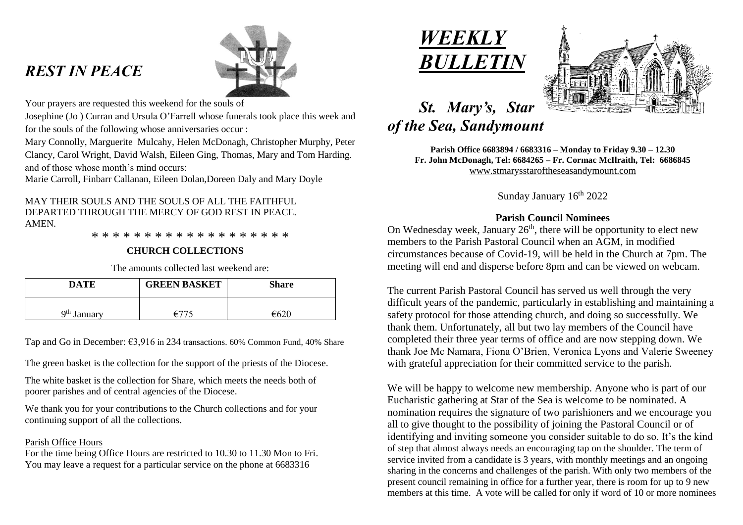# *REST IN PEACE*



Your prayers are requested this weekend for the souls of

Josephine (Jo ) Curran and Ursula O'Farrell whose funerals took place this week and for the souls of the following whose anniversaries occur :

Mary Connolly, Marguerite Mulcahy, Helen McDonagh, Christopher Murphy, Peter Clancy, Carol Wright, David Walsh, Eileen Ging, Thomas, Mary and Tom Harding. and of those whose month's mind occurs:

Marie Carroll, Finbarr Callanan, Eileen Dolan,Doreen Daly and Mary Doyle

## MAY THEIR SOULS AND THE SOULS OF ALL THE FAITHFUL DEPARTED THROUGH THE MERCY OF GOD REST IN PEACE. **AMEN**

\* \* \* \* \* \* \* \* \* \* \* \* \* \* \* \* \* \* \*

## **CHURCH COLLECTIONS**

The amounts collected last weekend are:

| <b>DATE</b>             | <b>GREEN BASKET</b> | Share          |
|-------------------------|---------------------|----------------|
| 9 <sup>th</sup> January | $f^{-}$             | $\epsilon$ 620 |

Tap and Go in December: €3,916 in 234 transactions. 60% Common Fund, 40% Share

The green basket is the collection for the support of the priests of the Diocese.

The white basket is the collection for Share, which meets the needs both of poorer parishes and of central agencies of the Diocese.

We thank you for your contributions to the Church collections and for your continuing support of all the collections.

### Parish Office Hours

For the time being Office Hours are restricted to 10.30 to 11.30 Mon to Fri. You may leave a request for a particular service on the phone at 6683316





# *St. Mary's, Star of the Sea, Sandymount*

**Parish Office 6683894 / 6683316 – Monday to Friday 9.30 – 12.30 Fr. John McDonagh, Tel: 6684265 – Fr. Cormac McIlraith, Tel: 6686845** [www.stmarysstaroftheseasandymount.com](http://www.stmarysstaroftheseasandymount.com/)

Sunday January 16<sup>th</sup> 2022

## **Parish Council Nominees**

On Wednesday week, January  $26<sup>th</sup>$ , there will be opportunity to elect new members to the Parish Pastoral Council when an AGM, in modified circumstances because of Covid-19, will be held in the Church at 7pm. The meeting will end and disperse before 8pm and can be viewed on webcam.

The current Parish Pastoral Council has served us well through the very difficult years of the pandemic, particularly in establishing and maintaining a safety protocol for those attending church, and doing so successfully. We thank them. Unfortunately, all but two lay members of the Council have completed their three year terms of office and are now stepping down. We thank Joe Mc Namara, Fiona O'Brien, Veronica Lyons and Valerie Sweeney with grateful appreciation for their committed service to the parish.

We will be happy to welcome new membership. Anyone who is part of our Eucharistic gathering at Star of the Sea is welcome to be nominated. A nomination requires the signature of two parishioners and we encourage you all to give thought to the possibility of joining the Pastoral Council or of identifying and inviting someone you consider suitable to do so. It's the kind of step that almost always needs an encouraging tap on the shoulder. The term of service invited from a candidate is 3 years, with monthly meetings and an ongoing sharing in the concerns and challenges of the parish. With only two members of the present council remaining in office for a further year, there is room for up to 9 new members at this time. A vote will be called for only if word of 10 or more nominees